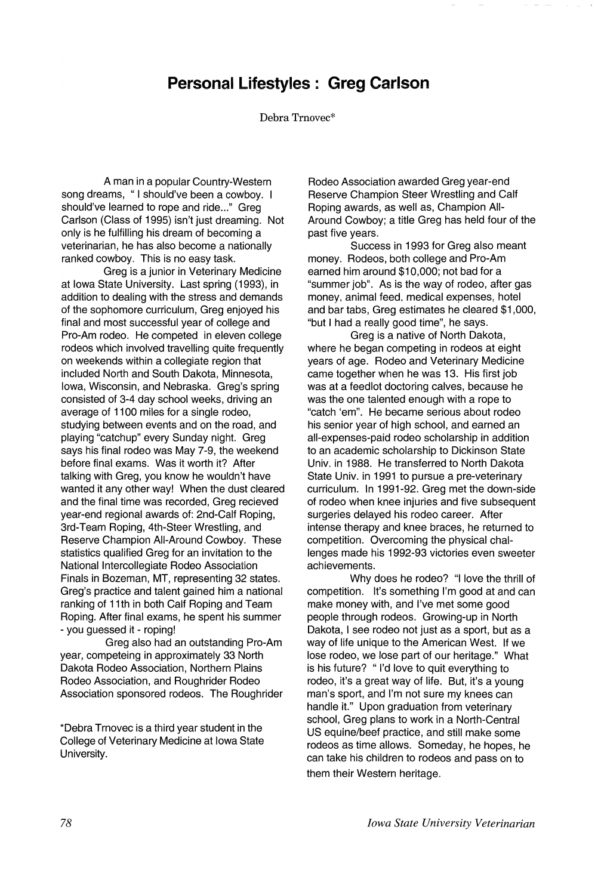## **Personal Lifestyles: Greg Carlson**

Debra Trnovec\*

A man in a popular Country-Western song dreams, "I should've been a cowboy. I should've learned to rope and ride..." Greg Carlson (Class of 1995) isn't just dreaming. Not only is he fulfilling his dream of becoming a veterinarian, he has also become a nationally ranked cowboy. This is no easy task.

Greg is a junior in Veterinary Medicine at Iowa State University. Last spring (1993), in addition to dealing with the stress and demands of the sophomore curriculum, Greg enjoyed his final and most successful year of college and Pro-Am rodeo. He competed in eleven college rodeos which involved travelling quite frequently on weekends within a collegiate region that included North and South Dakota, Minnesota, Iowa, Wisconsin, and Nebraska. Greg's spring consisted of 3-4 day school weeks, driving an average of 1100 miles for a single rodeo, studying between events and on the road, and playing "catchup" every Sunday night. Greg says his final rodeo was May 7-9, the weekend before final exams. Was it worth it? After talking with Greg, you know he wouldn't have wanted it any other way! When the dust cleared and the final time was recorded, Greg recieved year-end regional awards of: 2nd-Calf Roping, 3rd-Team Roping, 4th-Steer Wrestling, and Reserve Champion All-Around Cowboy. These statistics qualified Greg for an invitation to the National Intercollegiate Rodeo Association Finals in Bozeman, MT, representing 32 states. Greg's practice and talent gained him a national ranking of 11th in both Calf Roping and Team Roping. After final exams, he spent his summer - you guessed it - roping!

Greg also had an outstanding Pro-Am year, competeing in approximately 33 North Dakota Rodeo Association, Northern Plains Rodeo Association, and Roughrider Rodeo Association sponsored rodeos. The Roughrider

\*Debra Trnovec is a third year student in the College of Veterinary Medicine at Iowa State University.

Rodeo Association awarded Greg year-end Reserve Champion Steer Wrestling and Calf Roping awards, as well as, Champion AII-Around Cowboy; a title Greg has held four of the past five years.

Success in 1993 for Greg also meant money. Rodeos, both college and Pro-Am earned him around \$10,000; not bad for a "summer job". As is the way of rodeo, after gas money. animal feed. medical expenses, hotel and bar tabs, Greg estimates he cleared \$1,000, "but I had a really good time", he says.

Greg is a native of North Dakota, where he began competing in rodeos at eight years of age. Rodeo and Veterinary Medicine came together when he was 13. His first job was at a feedlot doctoring calves, because he was the one talented enough with a rope to "catch 'em". He became serious about rodeo his senior year of high school, and earned an all-expenses-paid rodeo scholarship in addition to an acadernic scholarship to Dickinson State Univ. in 1988. He transferred to North Dakota State Univ. in 1991 to pursue a pre-veterinary curriculum. In 1991-92. Greg met the down-side of rodeo when knee injuries and five subsequent surgeries delayed his rodeo career. After intense therapy and knee braces, he returned to competition. Overcoming the physical challenges made his 1992-93 victories even sweeter achievements.

Why does he rodeo? "I love the thrill of competition. It's something I'm good at and can make money with, and I've met some good people through rodeos. Growing-up in North Dakota, I see rodeo not just as a sport, but as a way of life unique to the American West. If we lose rodeo, we lose part of our heritage." What is his future? "I'd love to quit everything to rodeo, it's a great way of life. But, it's a young man's sport, and I'm not sure my knees can handle it." Upon graduation from veterinary school, Greg plans to work in a North-Central US equine/beef practice, and still make some rodeos as time allows. Someday, he hopes, he can take his children to rodeos and pass on to them their Western heritage.